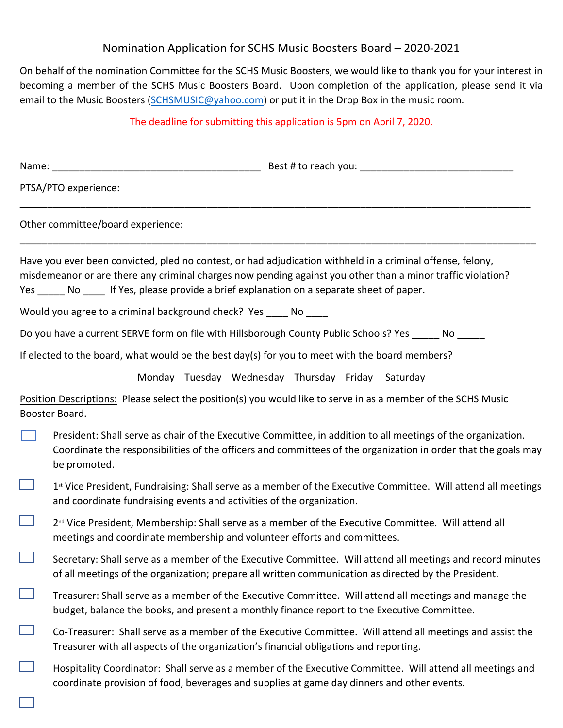## Nomination Application for SCHS Music Boosters Board – 2020-2021

On behalf of the nomination Committee for the SCHS Music Boosters, we would like to thank you for your interest in becoming a member of the SCHS Music Boosters Board. Upon completion of the application, please send it via email to the Music Boosters ([SCHSMUSIC@yahoo.com\)](mailto:SCHSMUSIC@yahoo.com) or put it in the Drop Box in the music room.

## The deadline for submitting this application is 5pm on April 7, 2020.

| PTSA/PTO experience:                                                                                                                                                                                                                                                                                                      |
|---------------------------------------------------------------------------------------------------------------------------------------------------------------------------------------------------------------------------------------------------------------------------------------------------------------------------|
| Other committee/board experience:                                                                                                                                                                                                                                                                                         |
| Have you ever been convicted, pled no contest, or had adjudication withheld in a criminal offense, felony,<br>misdemeanor or are there any criminal charges now pending against you other than a minor traffic violation?<br>Yes ______ No _____ If Yes, please provide a brief explanation on a separate sheet of paper. |
| Would you agree to a criminal background check? Yes _____ No ____                                                                                                                                                                                                                                                         |
| Do you have a current SERVE form on file with Hillsborough County Public Schools? Yes _____ No _____                                                                                                                                                                                                                      |
| If elected to the board, what would be the best day(s) for you to meet with the board members?                                                                                                                                                                                                                            |
| Monday Tuesday Wednesday Thursday Friday Saturday                                                                                                                                                                                                                                                                         |
| Position Descriptions: Please select the position(s) you would like to serve in as a member of the SCHS Music<br>Booster Board.                                                                                                                                                                                           |
| President: Shall serve as chair of the Executive Committee, in addition to all meetings of the organization.<br>Coordinate the responsibilities of the officers and committees of the organization in order that the goals may<br>be promoted.                                                                            |
| 1st Vice President, Fundraising: Shall serve as a member of the Executive Committee. Will attend all meetings<br>and coordinate fundraising events and activities of the organization.                                                                                                                                    |
| 2 <sup>nd</sup> Vice President, Membership: Shall serve as a member of the Executive Committee. Will attend all<br>meetings and coordinate membership and volunteer efforts and committees.                                                                                                                               |
| Secretary: Shall serve as a member of the Executive Committee. Will attend all meetings and record minutes<br>of all meetings of the organization; prepare all written communication as directed by the President.                                                                                                        |
| Treasurer: Shall serve as a member of the Executive Committee. Will attend all meetings and manage the<br>budget, balance the books, and present a monthly finance report to the Executive Committee.                                                                                                                     |
| Co-Treasurer: Shall serve as a member of the Executive Committee. Will attend all meetings and assist the<br>Treasurer with all aspects of the organization's financial obligations and reporting.                                                                                                                        |
| Hospitality Coordinator: Shall serve as a member of the Executive Committee. Will attend all meetings and<br>coordinate provision of food, beverages and supplies at game day dinners and other events.                                                                                                                   |